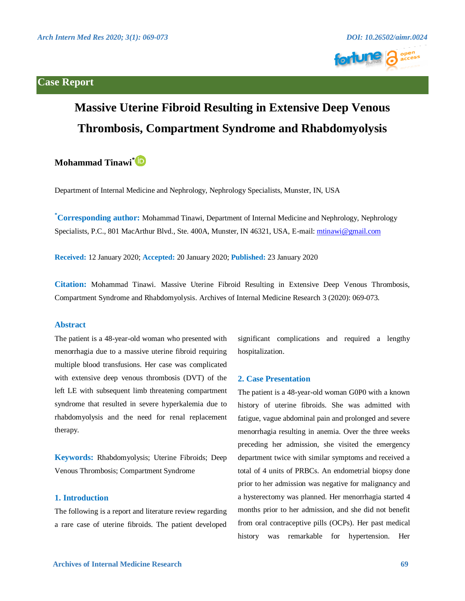### **Case Report**





# **Massive Uterine Fibroid Resulting in Extensive Deep Venous Thrombosis, Compartment Syndrome and Rhabdomyolysis**

## **Mohammad Tinawi\***

Department of Internal Medicine and Nephrology, Nephrology Specialists, Munster, IN, USA

**\* Corresponding author:** Mohammad Tinawi, Department of Internal Medicine and Nephrology, Nephrology Specialists, P.C., 801 MacArthur Blvd., Ste. 400A, Munster, IN 46321, USA, E-mail: [mtinawi@gmail.com](mailto:mtinawi@gmail.com) 

**Received:** 12 January 2020; **Accepted:** 20 January 2020; **Published:** 23 January 2020

**Citation:** Mohammad Tinawi. Massive Uterine Fibroid Resulting in Extensive Deep Venous Thrombosis, Compartment Syndrome and Rhabdomyolysis. Archives of Internal Medicine Research 3 (2020): 069-073.

#### **Abstract**

The patient is a 48-year-old woman who presented with menorrhagia due to a massive uterine fibroid requiring multiple blood transfusions. Her case was complicated with extensive deep venous thrombosis (DVT) of the left LE with subsequent limb threatening compartment syndrome that resulted in severe hyperkalemia due to rhabdomyolysis and the need for renal replacement therapy.

**Keywords:** Rhabdomyolysis; Uterine Fibroids; Deep Venous Thrombosis; Compartment Syndrome

#### **1. Introduction**

The following is a report and literature review regarding a rare case of uterine fibroids. The patient developed

significant complications and required a lengthy hospitalization.

#### **2. Case Presentation**

The patient is a 48-year-old woman G0P0 with a known history of uterine fibroids. She was admitted with fatigue, vague abdominal pain and prolonged and severe menorrhagia resulting in anemia. Over the three weeks preceding her admission, she visited the emergency department twice with similar symptoms and received a total of 4 units of PRBCs. An endometrial biopsy done prior to her admission was negative for malignancy and a hysterectomy was planned. Her menorrhagia started 4 months prior to her admission, and she did not benefit from oral contraceptive pills (OCPs). Her past medical history was remarkable for hypertension. Her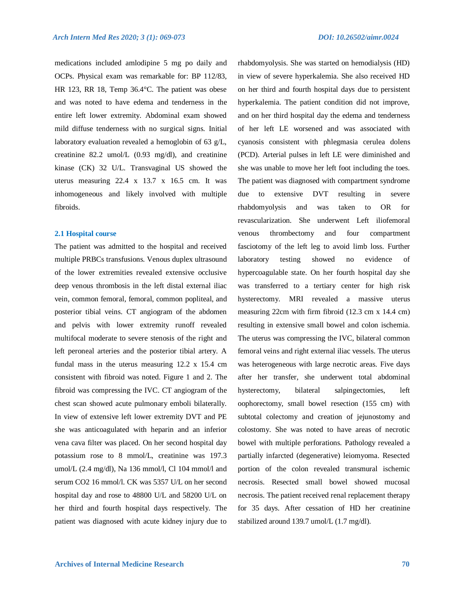medications included amlodipine 5 mg po daily and OCPs. Physical exam was remarkable for: BP 112/83, HR 123, RR 18, Temp 36.4°C. The patient was obese and was noted to have edema and tenderness in the entire left lower extremity. Abdominal exam showed mild diffuse tenderness with no surgical signs. Initial laboratory evaluation revealed a hemoglobin of 63 g/L, creatinine 82.2 umol/L (0.93 mg/dl), and creatinine kinase (CK) 32 U/L. Transvaginal US showed the uterus measuring 22.4 x 13.7 x 16.5 cm. It was inhomogeneous and likely involved with multiple fibroids.

#### **2.1 Hospital course**

The patient was admitted to the hospital and received multiple PRBCs transfusions. Venous duplex ultrasound of the lower extremities revealed extensive occlusive deep venous thrombosis in the left distal external iliac vein, common femoral, femoral, common popliteal, and posterior tibial veins. CT angiogram of the abdomen and pelvis with lower extremity runoff revealed multifocal moderate to severe stenosis of the right and left peroneal arteries and the posterior tibial artery. A fundal mass in the uterus measuring 12.2 x 15.4 cm consistent with fibroid was noted. Figure 1 and 2. The fibroid was compressing the IVC. CT angiogram of the chest scan showed acute pulmonary emboli bilaterally. In view of extensive left lower extremity DVT and PE she was anticoagulated with heparin and an inferior vena cava filter was placed. On her second hospital day potassium rose to 8 mmol/L, creatinine was 197.3 umol/L (2.4 mg/dl), Na 136 mmol/l, Cl 104 mmol/l and serum CO2 16 mmol/l. CK was 5357 U/L on her second hospital day and rose to 48800 U/L and 58200 U/L on her third and fourth hospital days respectively. The patient was diagnosed with acute kidney injury due to rhabdomyolysis. She was started on hemodialysis (HD) in view of severe hyperkalemia. She also received HD on her third and fourth hospital days due to persistent hyperkalemia. The patient condition did not improve, and on her third hospital day the edema and tenderness of her left LE worsened and was associated with cyanosis consistent with phlegmasia cerulea dolens (PCD). Arterial pulses in left LE were diminished and she was unable to move her left foot including the toes. The patient was diagnosed with compartment syndrome due to extensive DVT resulting in severe rhabdomyolysis and was taken to OR for revascularization. She underwent Left iliofemoral venous thrombectomy and four compartment fasciotomy of the left leg to avoid limb loss. Further laboratory testing showed no evidence of hypercoagulable state. On her fourth hospital day she was transferred to a tertiary center for high risk hysterectomy. MRI revealed a massive uterus measuring 22cm with firm fibroid (12.3 cm x 14.4 cm) resulting in extensive small bowel and colon ischemia. The uterus was compressing the IVC, bilateral common femoral veins and right external iliac vessels. The uterus was heterogeneous with large necrotic areas. Five days after her transfer, she underwent total abdominal hysterectomy, bilateral salpingectomies, left oophorectomy, small bowel resection (155 cm) with subtotal colectomy and creation of jejunostomy and colostomy. She was noted to have areas of necrotic bowel with multiple perforations. Pathology revealed a partially infarcted (degenerative) leiomyoma. Resected portion of the colon revealed transmural ischemic necrosis. Resected small bowel showed mucosal necrosis. The patient received renal replacement therapy for 35 days. After cessation of HD her creatinine stabilized around 139.7 umol/L (1.7 mg/dl).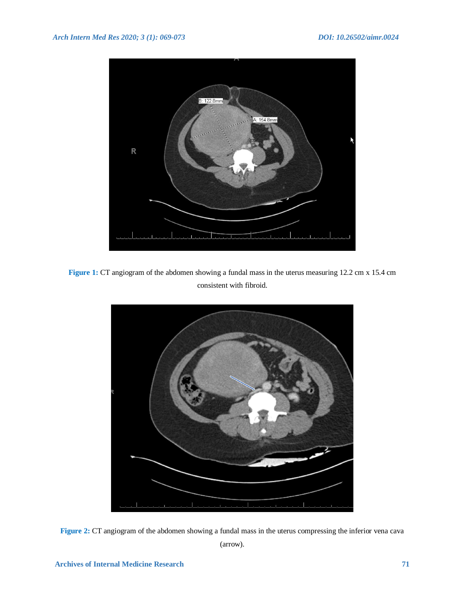

**Figure 1:** CT angiogram of the abdomen showing a fundal mass in the uterus measuring 12.2 cm x 15.4 cm consistent with fibroid.



**Figure 2:** CT angiogram of the abdomen showing a fundal mass in the uterus compressing the inferior vena cava (arrow).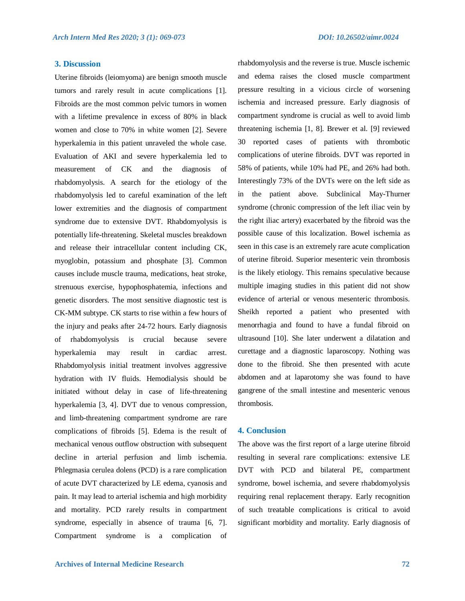#### **3. Discussion**

Uterine fibroids (leiomyoma) are benign smooth muscle tumors and rarely result in acute complications [1]. Fibroids are the most common pelvic tumors in women with a lifetime prevalence in excess of 80% in black women and close to 70% in white women [2]. Severe hyperkalemia in this patient unraveled the whole case. Evaluation of AKI and severe hyperkalemia led to measurement of CK and the diagnosis of rhabdomyolysis. A search for the etiology of the rhabdomyolysis led to careful examination of the left lower extremities and the diagnosis of compartment syndrome due to extensive DVT. Rhabdomyolysis is potentially life-threatening. Skeletal muscles breakdown and release their intracellular content including CK, myoglobin, potassium and phosphate [3]. Common causes include muscle trauma, medications, heat stroke, strenuous exercise, hypophosphatemia, infections and genetic disorders. The most sensitive diagnostic test is CK-MM subtype. CK starts to rise within a few hours of the injury and peaks after 24-72 hours. Early diagnosis of rhabdomyolysis is crucial because severe hyperkalemia may result in cardiac arrest. Rhabdomyolysis initial treatment involves aggressive hydration with IV fluids. Hemodialysis should be initiated without delay in case of life-threatening hyperkalemia [3, 4]. DVT due to venous compression, and limb-threatening compartment syndrome are rare complications of fibroids [5]. Edema is the result of mechanical venous outflow obstruction with subsequent decline in arterial perfusion and limb ischemia. Phlegmasia cerulea dolens (PCD) is a rare complication of acute DVT characterized by LE edema, cyanosis and pain. It may lead to arterial ischemia and high morbidity and mortality. PCD rarely results in compartment syndrome, especially in absence of trauma [6, 7]. Compartment syndrome is a complication of rhabdomyolysis and the reverse is true. Muscle ischemic and edema raises the closed muscle compartment pressure resulting in a vicious circle of worsening ischemia and increased pressure. Early diagnosis of compartment syndrome is crucial as well to avoid limb threatening ischemia [1, 8]. Brewer et al. [9] reviewed 30 reported cases of patients with thrombotic complications of uterine fibroids. DVT was reported in 58% of patients, while 10% had PE, and 26% had both. Interestingly 73% of the DVTs were on the left side as in the patient above. Subclinical May-Thurner syndrome (chronic compression of the left iliac vein by the right iliac artery) exacerbated by the fibroid was the possible cause of this localization. Bowel ischemia as seen in this case is an extremely rare acute complication of uterine fibroid. Superior mesenteric vein thrombosis is the likely etiology. This remains speculative because multiple imaging studies in this patient did not show evidence of arterial or venous mesenteric thrombosis. Sheikh reported a patient who presented with menorrhagia and found to have a fundal fibroid on ultrasound [10]. She later underwent a dilatation and curettage and a diagnostic laparoscopy. Nothing was done to the fibroid. She then presented with acute abdomen and at laparotomy she was found to have gangrene of the small intestine and mesenteric venous thrombosis.

#### **4. Conclusion**

The above was the first report of a large uterine fibroid resulting in several rare complications: extensive LE DVT with PCD and bilateral PE, compartment syndrome, bowel ischemia, and severe rhabdomyolysis requiring renal replacement therapy. Early recognition of such treatable complications is critical to avoid significant morbidity and mortality. Early diagnosis of